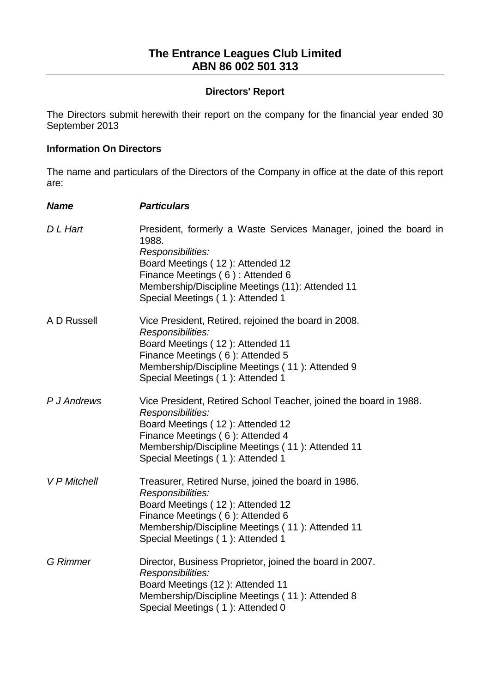## **Directors' Report**

The Directors submit herewith their report on the company for the financial year ended 30 September 2013

#### **Information On Directors**

The name and particulars of the Directors of the Company in office at the date of this report are:

| <b>Name</b>         | <b>Particulars</b>                                                                                                                                                                                                                                              |
|---------------------|-----------------------------------------------------------------------------------------------------------------------------------------------------------------------------------------------------------------------------------------------------------------|
| D L Hart            | President, formerly a Waste Services Manager, joined the board in<br>1988.<br>Responsibilities:<br>Board Meetings (12): Attended 12<br>Finance Meetings (6): Attended 6<br>Membership/Discipline Meetings (11): Attended 11<br>Special Meetings (1): Attended 1 |
| A D Russell         | Vice President, Retired, rejoined the board in 2008.<br>Responsibilities:<br>Board Meetings (12): Attended 11<br>Finance Meetings (6): Attended 5<br>Membership/Discipline Meetings (11): Attended 9<br>Special Meetings (1): Attended 1                        |
| P J Andrews         | Vice President, Retired School Teacher, joined the board in 1988.<br>Responsibilities:<br>Board Meetings (12): Attended 12<br>Finance Meetings (6): Attended 4<br>Membership/Discipline Meetings (11): Attended 11<br>Special Meetings (1): Attended 1          |
| <b>V P Mitchell</b> | Treasurer, Retired Nurse, joined the board in 1986.<br>Responsibilities:<br>Board Meetings (12): Attended 12<br>Finance Meetings (6): Attended 6<br>Membership/Discipline Meetings (11): Attended 11<br>Special Meetings (1): Attended 1                        |
| <b>G</b> Rimmer     | Director, Business Proprietor, joined the board in 2007.<br>Responsibilities:<br>Board Meetings (12): Attended 11<br>Membership/Discipline Meetings (11): Attended 8<br>Special Meetings (1): Attended 0                                                        |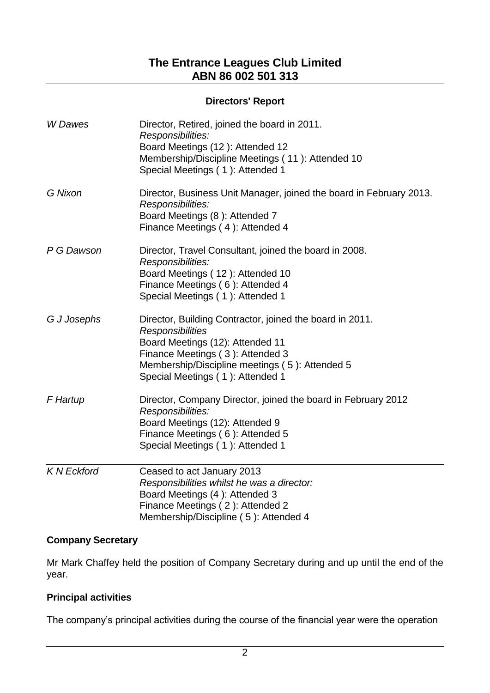## **Directors' Report**

| W Dawes           | Director, Retired, joined the board in 2011.<br>Responsibilities:<br>Board Meetings (12): Attended 12<br>Membership/Discipline Meetings (11): Attended 10<br>Special Meetings (1): Attended 1                                                     |
|-------------------|---------------------------------------------------------------------------------------------------------------------------------------------------------------------------------------------------------------------------------------------------|
| G Nixon           | Director, Business Unit Manager, joined the board in February 2013.<br>Responsibilities:<br>Board Meetings (8): Attended 7<br>Finance Meetings (4): Attended 4                                                                                    |
| P G Dawson        | Director, Travel Consultant, joined the board in 2008.<br>Responsibilities:<br>Board Meetings (12): Attended 10<br>Finance Meetings (6): Attended 4<br>Special Meetings (1): Attended 1                                                           |
| G J Josephs       | Director, Building Contractor, joined the board in 2011.<br><b>Responsibilities</b><br>Board Meetings (12): Attended 11<br>Finance Meetings (3): Attended 3<br>Membership/Discipline meetings (5): Attended 5<br>Special Meetings (1): Attended 1 |
| F Hartup          | Director, Company Director, joined the board in February 2012<br>Responsibilities:<br>Board Meetings (12): Attended 9<br>Finance Meetings (6): Attended 5<br>Special Meetings (1): Attended 1                                                     |
| <b>KN Eckford</b> | Ceased to act January 2013<br>Responsibilities whilst he was a director:<br>Board Meetings (4): Attended 3<br>Finance Meetings (2): Attended 2<br>Membership/Discipline (5): Attended 4                                                           |

# **Company Secretary**

Mr Mark Chaffey held the position of Company Secretary during and up until the end of the year.

## **Principal activities**

The company's principal activities during the course of the financial year were the operation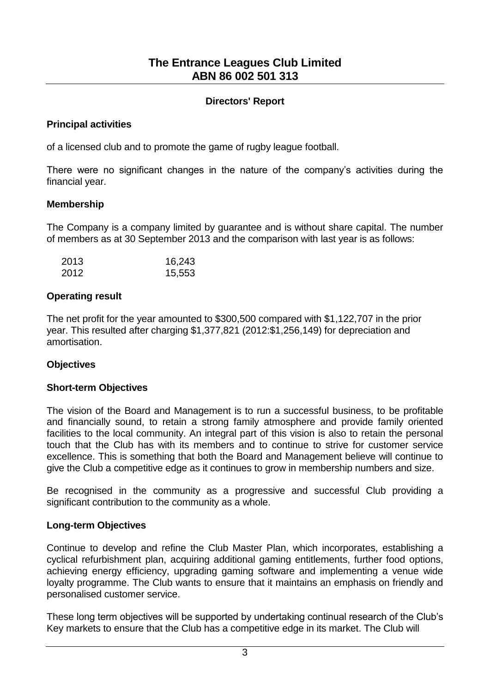## **Directors' Report**

## **Principal activities**

of a licensed club and to promote the game of rugby league football.

There were no significant changes in the nature of the company's activities during the financial year.

## **Membership**

The Company is a company limited by guarantee and is without share capital. The number of members as at 30 September 2013 and the comparison with last year is as follows:

| 2013 | 16,243 |
|------|--------|
| 2012 | 15,553 |

## **Operating result**

The net profit for the year amounted to \$300,500 compared with \$1,122,707 in the prior year. This resulted after charging \$1,377,821 (2012:\$1,256,149) for depreciation and amortisation.

# **Objectives**

## **Short-term Objectives**

The vision of the Board and Management is to run a successful business, to be profitable and financially sound, to retain a strong family atmosphere and provide family oriented facilities to the local community. An integral part of this vision is also to retain the personal touch that the Club has with its members and to continue to strive for customer service excellence. This is something that both the Board and Management believe will continue to give the Club a competitive edge as it continues to grow in membership numbers and size.

Be recognised in the community as a progressive and successful Club providing a significant contribution to the community as a whole.

## **Long-term Objectives**

Continue to develop and refine the Club Master Plan, which incorporates, establishing a cyclical refurbishment plan, acquiring additional gaming entitlements, further food options, achieving energy efficiency, upgrading gaming software and implementing a venue wide loyalty programme. The Club wants to ensure that it maintains an emphasis on friendly and personalised customer service.

These long term objectives will be supported by undertaking continual research of the Club's Key markets to ensure that the Club has a competitive edge in its market. The Club will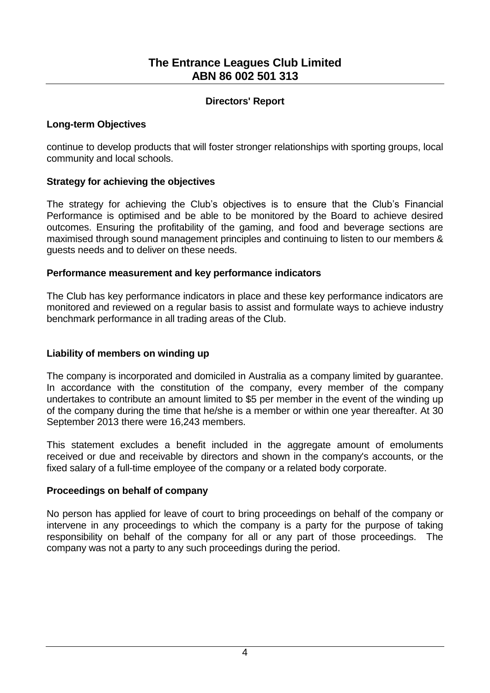## **Directors' Report**

## **Long-term Objectives**

continue to develop products that will foster stronger relationships with sporting groups, local community and local schools.

## **Strategy for achieving the objectives**

The strategy for achieving the Club's objectives is to ensure that the Club's Financial Performance is optimised and be able to be monitored by the Board to achieve desired outcomes. Ensuring the profitability of the gaming, and food and beverage sections are maximised through sound management principles and continuing to listen to our members & guests needs and to deliver on these needs.

## **Performance measurement and key performance indicators**

The Club has key performance indicators in place and these key performance indicators are monitored and reviewed on a regular basis to assist and formulate ways to achieve industry benchmark performance in all trading areas of the Club.

# **Liability of members on winding up**

The company is incorporated and domiciled in Australia as a company limited by guarantee. In accordance with the constitution of the company, every member of the company undertakes to contribute an amount limited to \$5 per member in the event of the winding up of the company during the time that he/she is a member or within one year thereafter. At 30 September 2013 there were 16,243 members.

This statement excludes a benefit included in the aggregate amount of emoluments received or due and receivable by directors and shown in the company's accounts, or the fixed salary of a full-time employee of the company or a related body corporate.

## **Proceedings on behalf of company**

No person has applied for leave of court to bring proceedings on behalf of the company or intervene in any proceedings to which the company is a party for the purpose of taking responsibility on behalf of the company for all or any part of those proceedings. The company was not a party to any such proceedings during the period.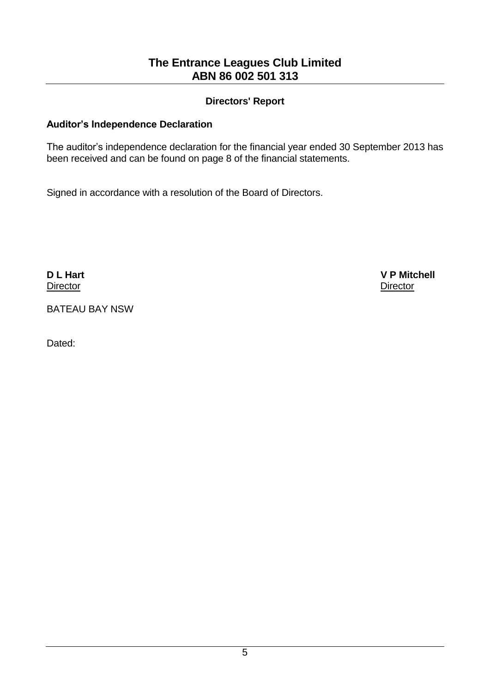## **Directors' Report**

## **Auditor's Independence Declaration**

The auditor's independence declaration for the financial year ended 30 September 2013 has been received and can be found on page 8 of the financial statements.

Signed in accordance with a resolution of the Board of Directors.

**Director** Director **Director** Director **Director Director Director** 

**D L Hart V P Mitchell**

BATEAU BAY NSW

Dated: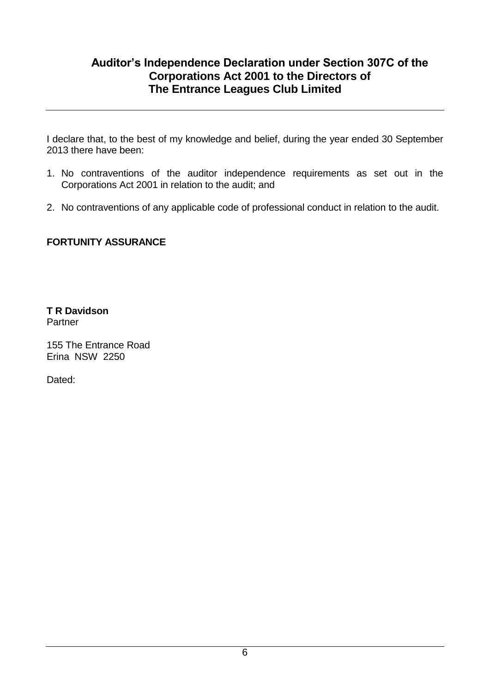# **Auditor's Independence Declaration under Section 307C of the Corporations Act 2001 to the Directors of The Entrance Leagues Club Limited**

I declare that, to the best of my knowledge and belief, during the year ended 30 September 2013 there have been:

- 1. No contraventions of the auditor independence requirements as set out in the Corporations Act 2001 in relation to the audit; and
- 2. No contraventions of any applicable code of professional conduct in relation to the audit.

# **FORTUNITY ASSURANCE**

**T R Davidson** Partner

155 The Entrance Road Erina NSW 2250

Dated: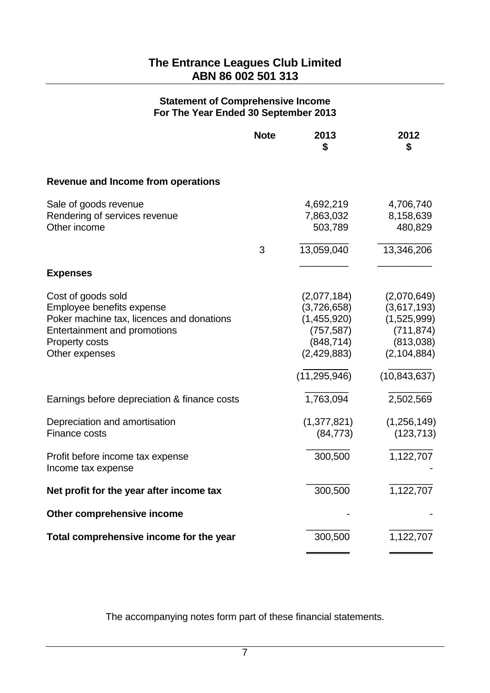#### **Statement of Comprehensive Income For The Year Ended 30 September 2013**

|                                              | <b>Note</b> | 2013<br>\$     | 2012<br>\$     |
|----------------------------------------------|-------------|----------------|----------------|
| <b>Revenue and Income from operations</b>    |             |                |                |
| Sale of goods revenue                        |             | 4,692,219      | 4,706,740      |
| Rendering of services revenue                |             | 7,863,032      | 8,158,639      |
| Other income                                 |             | 503,789        | 480,829        |
|                                              | 3           | 13,059,040     | 13,346,206     |
| <b>Expenses</b>                              |             |                |                |
| Cost of goods sold                           |             | (2,077,184)    | (2,070,649)    |
| Employee benefits expense                    |             | (3,726,658)    | (3,617,193)    |
| Poker machine tax, licences and donations    |             | (1,455,920)    | (1,525,999)    |
| Entertainment and promotions                 |             | (757, 587)     | (711, 874)     |
| Property costs                               |             | (848, 714)     | (813,038)      |
| Other expenses                               |             | (2,429,883)    | (2, 104, 884)  |
|                                              |             | (11, 295, 946) | (10, 843, 637) |
| Earnings before depreciation & finance costs |             | 1,763,094      | 2,502,569      |
| Depreciation and amortisation                |             | (1,377,821)    | (1,256,149)    |
| Finance costs                                |             | (84, 773)      | (123, 713)     |
| Profit before income tax expense             |             | 300,500        | 1,122,707      |
| Income tax expense                           |             |                |                |
| Net profit for the year after income tax     |             | 300,500        | 1,122,707      |
| Other comprehensive income                   |             |                |                |
| Total comprehensive income for the year      |             | 300,500        | 1,122,707      |
|                                              |             |                |                |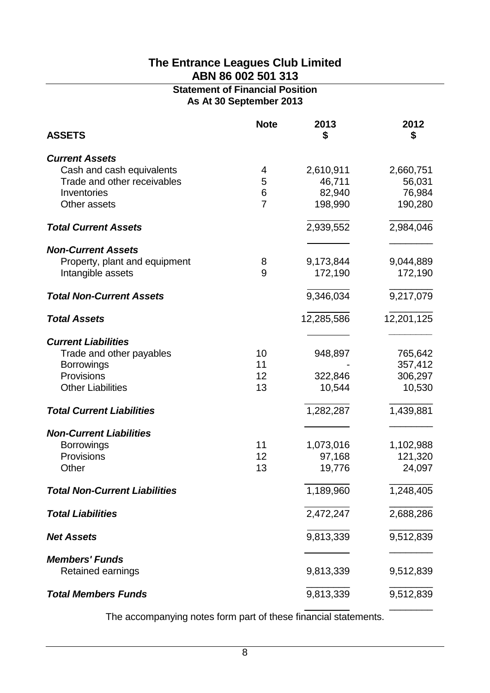# **Statement of Financial Position As At 30 September 2013**

| <b>ASSETS</b>                        | <b>Note</b>     | 2013<br>\$ | 2012<br>\$ |
|--------------------------------------|-----------------|------------|------------|
| <b>Current Assets</b>                |                 |            |            |
| Cash and cash equivalents            | 4               | 2,610,911  | 2,660,751  |
| Trade and other receivables          | 5               | 46,711     | 56,031     |
| Inventories                          | $6\phantom{1}6$ | 82,940     | 76,984     |
| Other assets                         | $\overline{7}$  | 198,990    | 190,280    |
| <b>Total Current Assets</b>          |                 | 2,939,552  | 2,984,046  |
| <b>Non-Current Assets</b>            |                 |            |            |
| Property, plant and equipment        | 8               | 9,173,844  | 9,044,889  |
| Intangible assets                    | 9               | 172,190    | 172,190    |
| <b>Total Non-Current Assets</b>      |                 | 9,346,034  | 9,217,079  |
| <b>Total Assets</b>                  |                 | 12,285,586 | 12,201,125 |
| <b>Current Liabilities</b>           |                 |            |            |
| Trade and other payables             | 10              | 948,897    | 765,642    |
| <b>Borrowings</b>                    | 11              |            | 357,412    |
| Provisions                           | 12              | 322,846    | 306,297    |
| <b>Other Liabilities</b>             | 13              | 10,544     | 10,530     |
| <b>Total Current Liabilities</b>     |                 | 1,282,287  | 1,439,881  |
| <b>Non-Current Liabilities</b>       |                 |            |            |
| <b>Borrowings</b>                    | 11              | 1,073,016  | 1,102,988  |
| Provisions                           | 12              | 97,168     | 121,320    |
| Other                                | 13              | 19,776     | 24,097     |
| <b>Total Non-Current Liabilities</b> |                 | 1,189,960  | 1,248,405  |
| <b>Total Liabilities</b>             |                 | 2,472,247  | 2,688,286  |
| <b>Net Assets</b>                    |                 | 9,813,339  | 9,512,839  |
| <b>Members' Funds</b>                |                 |            |            |
| Retained earnings                    |                 | 9,813,339  | 9,512,839  |
| <b>Total Members Funds</b>           |                 | 9,813,339  | 9,512,839  |
|                                      |                 |            |            |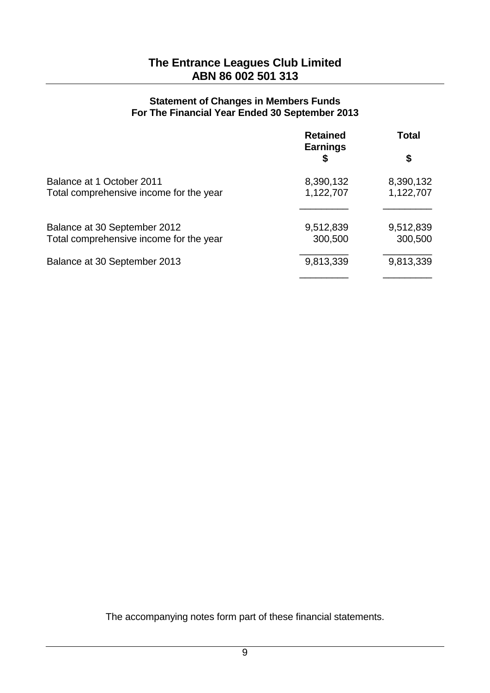#### **Statement of Changes in Members Funds For The Financial Year Ended 30 September 2013**

|                                         | <b>Retained</b><br><b>Earnings</b> | Total     |  |
|-----------------------------------------|------------------------------------|-----------|--|
|                                         | S                                  | \$        |  |
| Balance at 1 October 2011               | 8,390,132                          | 8,390,132 |  |
| Total comprehensive income for the year | 1,122,707                          | 1,122,707 |  |
| Balance at 30 September 2012            | 9,512,839                          | 9,512,839 |  |
| Total comprehensive income for the year | 300,500                            | 300,500   |  |
| Balance at 30 September 2013            | 9,813,339                          | 9,813,339 |  |
|                                         |                                    |           |  |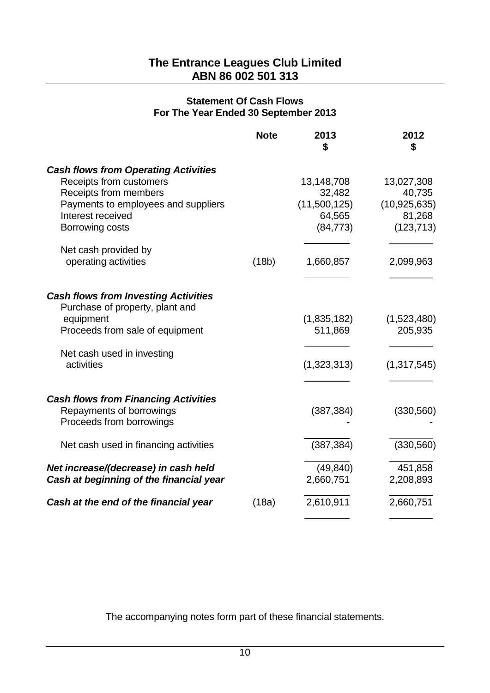#### **Statement Of Cash Flows For The Year Ended 30 September 2013**

|                                                                                                                                                                                | <b>Note</b> | 2013                                                        | 2012<br>\$                                                     |
|--------------------------------------------------------------------------------------------------------------------------------------------------------------------------------|-------------|-------------------------------------------------------------|----------------------------------------------------------------|
| <b>Cash flows from Operating Activities</b><br>Receipts from customers<br>Receipts from members<br>Payments to employees and suppliers<br>Interest received<br>Borrowing costs |             | 13,148,708<br>32,482<br>(11,500,125)<br>64,565<br>(84, 773) | 13,027,308<br>40,735<br>(10, 925, 635)<br>81,268<br>(123, 713) |
| Net cash provided by<br>operating activities                                                                                                                                   | (18b)       | 1,660,857                                                   | 2,099,963                                                      |
| <b>Cash flows from Investing Activities</b><br>Purchase of property, plant and<br>equipment<br>Proceeds from sale of equipment<br>Net cash used in investing<br>activities     |             | (1,835,182)<br>511,869<br>(1,323,313)                       | (1,523,480)<br>205,935<br>(1,317,545)                          |
| <b>Cash flows from Financing Activities</b><br>Repayments of borrowings<br>Proceeds from borrowings                                                                            |             | (387, 384)                                                  | (330, 560)                                                     |
| Net cash used in financing activities                                                                                                                                          |             | (387, 384)                                                  | (330, 560)                                                     |
| Net increase/(decrease) in cash held<br>Cash at beginning of the financial year                                                                                                |             | (49, 840)<br>2,660,751                                      | 451,858<br>2,208,893                                           |
| Cash at the end of the financial year                                                                                                                                          | (18a)       | 2,610,911                                                   | 2,660,751                                                      |
|                                                                                                                                                                                |             |                                                             |                                                                |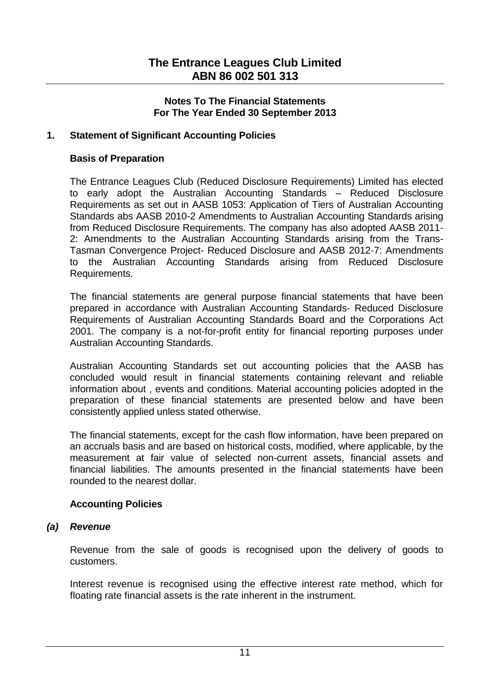## **1. Statement of Significant Accounting Policies**

#### **Basis of Preparation**

The Entrance Leagues Club (Reduced Disclosure Requirements) Limited has elected to early adopt the Australian Accounting Standards – Reduced Disclosure Requirements as set out in AASB 1053: Application of Tiers of Australian Accounting Standards abs AASB 2010-2 Amendments to Australian Accounting Standards arising from Reduced Disclosure Requirements. The company has also adopted AASB 2011- 2: Amendments to the Australian Accounting Standards arising from the Trans-Tasman Convergence Project- Reduced Disclosure and AASB 2012-7: Amendments to the Australian Accounting Standards arising from Reduced Disclosure Requirements.

The financial statements are general purpose financial statements that have been prepared in accordance with Australian Accounting Standards- Reduced Disclosure Requirements of Australian Accounting Standards Board and the Corporations Act 2001. The company is a not-for-profit entity for financial reporting purposes under Australian Accounting Standards.

Australian Accounting Standards set out accounting policies that the AASB has concluded would result in financial statements containing relevant and reliable information about , events and conditions. Material accounting policies adopted in the preparation of these financial statements are presented below and have been consistently applied unless stated otherwise.

The financial statements, except for the cash flow information, have been prepared on an accruals basis and are based on historical costs, modified, where applicable, by the measurement at fair value of selected non-current assets, financial assets and financial liabilities. The amounts presented in the financial statements have been rounded to the nearest dollar.

## **Accounting Policies**

#### *(a) Revenue*

Revenue from the sale of goods is recognised upon the delivery of goods to customers.

Interest revenue is recognised using the effective interest rate method, which for floating rate financial assets is the rate inherent in the instrument.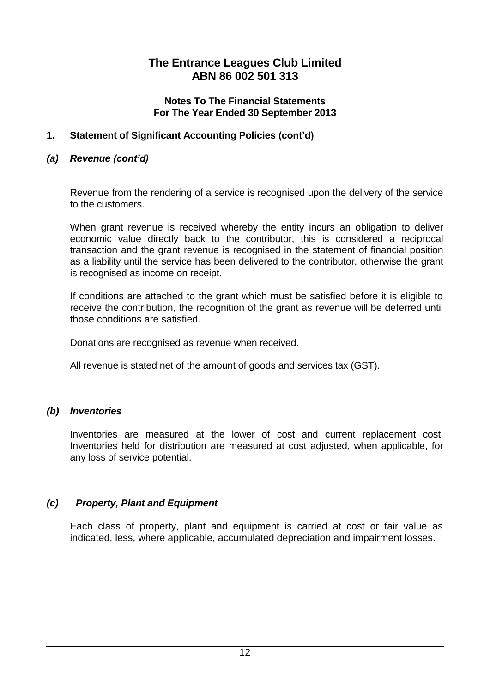## **1. Statement of Significant Accounting Policies (cont'd)**

## *(a) Revenue (cont'd)*

Revenue from the rendering of a service is recognised upon the delivery of the service to the customers.

When grant revenue is received whereby the entity incurs an obligation to deliver economic value directly back to the contributor, this is considered a reciprocal transaction and the grant revenue is recognised in the statement of financial position as a liability until the service has been delivered to the contributor, otherwise the grant is recognised as income on receipt.

If conditions are attached to the grant which must be satisfied before it is eligible to receive the contribution, the recognition of the grant as revenue will be deferred until those conditions are satisfied.

Donations are recognised as revenue when received.

All revenue is stated net of the amount of goods and services tax (GST).

## *(b) Inventories*

Inventories are measured at the lower of cost and current replacement cost. Inventories held for distribution are measured at cost adjusted, when applicable, for any loss of service potential.

## *(c) Property, Plant and Equipment*

Each class of property, plant and equipment is carried at cost or fair value as indicated, less, where applicable, accumulated depreciation and impairment losses.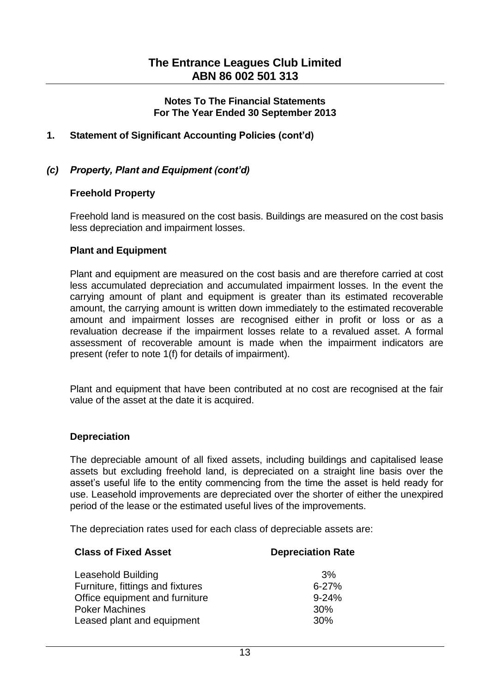## **1. Statement of Significant Accounting Policies (cont'd)**

### *(c) Property, Plant and Equipment (cont'd)*

#### **Freehold Property**

Freehold land is measured on the cost basis. Buildings are measured on the cost basis less depreciation and impairment losses.

#### **Plant and Equipment**

Plant and equipment are measured on the cost basis and are therefore carried at cost less accumulated depreciation and accumulated impairment losses. In the event the carrying amount of plant and equipment is greater than its estimated recoverable amount, the carrying amount is written down immediately to the estimated recoverable amount and impairment losses are recognised either in profit or loss or as a revaluation decrease if the impairment losses relate to a revalued asset. A formal assessment of recoverable amount is made when the impairment indicators are present (refer to note 1(f) for details of impairment).

Plant and equipment that have been contributed at no cost are recognised at the fair value of the asset at the date it is acquired.

#### **Depreciation**

The depreciable amount of all fixed assets, including buildings and capitalised lease assets but excluding freehold land, is depreciated on a straight line basis over the asset's useful life to the entity commencing from the time the asset is held ready for use. Leasehold improvements are depreciated over the shorter of either the unexpired period of the lease or the estimated useful lives of the improvements.

The depreciation rates used for each class of depreciable assets are:

| <b>Class of Fixed Asset</b>      | <b>Depreciation Rate</b> |
|----------------------------------|--------------------------|
| Leasehold Building               | 3%                       |
| Furniture, fittings and fixtures | $6 - 27%$                |
| Office equipment and furniture   | $9 - 24%$                |
| <b>Poker Machines</b>            | 30%                      |
| Leased plant and equipment       | 30%                      |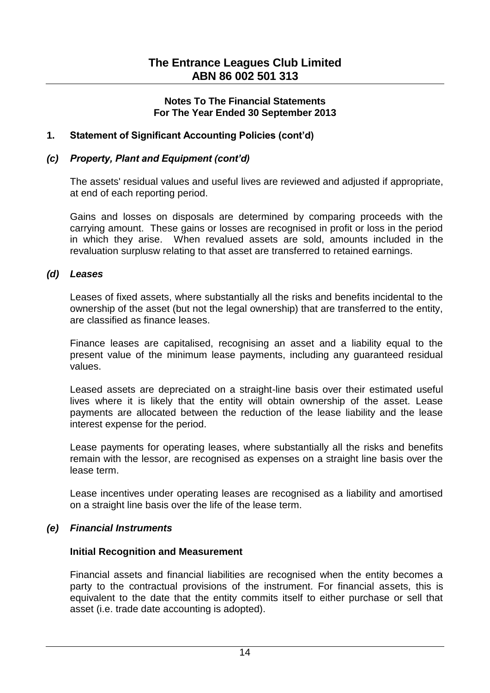## **1. Statement of Significant Accounting Policies (cont'd)**

#### *(c) Property, Plant and Equipment (cont'd)*

The assets' residual values and useful lives are reviewed and adjusted if appropriate, at end of each reporting period.

Gains and losses on disposals are determined by comparing proceeds with the carrying amount. These gains or losses are recognised in profit or loss in the period in which they arise. When revalued assets are sold, amounts included in the revaluation surplusw relating to that asset are transferred to retained earnings.

#### *(d) Leases*

Leases of fixed assets, where substantially all the risks and benefits incidental to the ownership of the asset (but not the legal ownership) that are transferred to the entity, are classified as finance leases.

Finance leases are capitalised, recognising an asset and a liability equal to the present value of the minimum lease payments, including any guaranteed residual values.

Leased assets are depreciated on a straight-line basis over their estimated useful lives where it is likely that the entity will obtain ownership of the asset. Lease payments are allocated between the reduction of the lease liability and the lease interest expense for the period.

Lease payments for operating leases, where substantially all the risks and benefits remain with the lessor, are recognised as expenses on a straight line basis over the lease term.

Lease incentives under operating leases are recognised as a liability and amortised on a straight line basis over the life of the lease term.

## *(e) Financial Instruments*

#### **Initial Recognition and Measurement**

Financial assets and financial liabilities are recognised when the entity becomes a party to the contractual provisions of the instrument. For financial assets, this is equivalent to the date that the entity commits itself to either purchase or sell that asset (i.e. trade date accounting is adopted).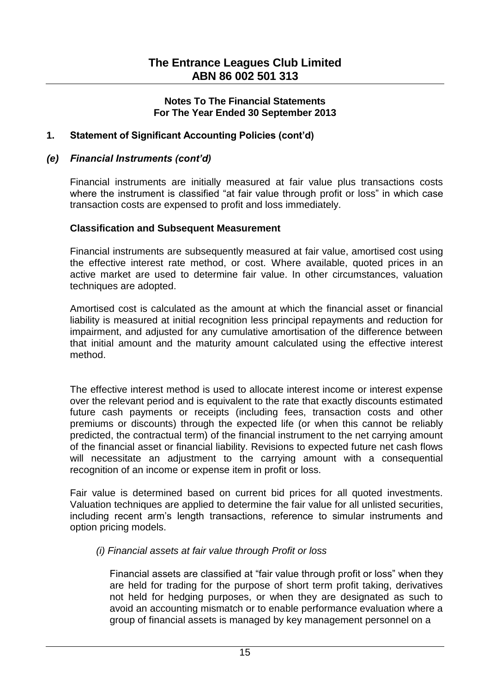## **1. Statement of Significant Accounting Policies (cont'd)**

#### *(e) Financial Instruments (cont'd)*

Financial instruments are initially measured at fair value plus transactions costs where the instrument is classified "at fair value through profit or loss" in which case transaction costs are expensed to profit and loss immediately.

#### **Classification and Subsequent Measurement**

Financial instruments are subsequently measured at fair value, amortised cost using the effective interest rate method, or cost. Where available, quoted prices in an active market are used to determine fair value. In other circumstances, valuation techniques are adopted.

Amortised cost is calculated as the amount at which the financial asset or financial liability is measured at initial recognition less principal repayments and reduction for impairment, and adjusted for any cumulative amortisation of the difference between that initial amount and the maturity amount calculated using the effective interest method.

The effective interest method is used to allocate interest income or interest expense over the relevant period and is equivalent to the rate that exactly discounts estimated future cash payments or receipts (including fees, transaction costs and other premiums or discounts) through the expected life (or when this cannot be reliably predicted, the contractual term) of the financial instrument to the net carrying amount of the financial asset or financial liability. Revisions to expected future net cash flows will necessitate an adjustment to the carrying amount with a consequential recognition of an income or expense item in profit or loss.

Fair value is determined based on current bid prices for all quoted investments. Valuation techniques are applied to determine the fair value for all unlisted securities, including recent arm's length transactions, reference to simular instruments and option pricing models.

## *(i) Financial assets at fair value through Profit or loss*

Financial assets are classified at "fair value through profit or loss" when they are held for trading for the purpose of short term profit taking, derivatives not held for hedging purposes, or when they are designated as such to avoid an accounting mismatch or to enable performance evaluation where a group of financial assets is managed by key management personnel on a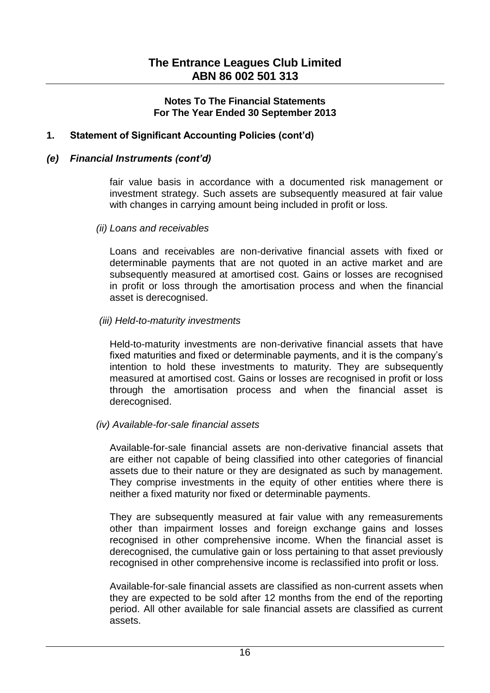## **1. Statement of Significant Accounting Policies (cont'd)**

#### *(e) Financial Instruments (cont'd)*

fair value basis in accordance with a documented risk management or investment strategy. Such assets are subsequently measured at fair value with changes in carrying amount being included in profit or loss.

*(ii) Loans and receivables*

Loans and receivables are non-derivative financial assets with fixed or determinable payments that are not quoted in an active market and are subsequently measured at amortised cost. Gains or losses are recognised in profit or loss through the amortisation process and when the financial asset is derecognised.

#### *(iii) Held-to-maturity investments*

Held-to-maturity investments are non-derivative financial assets that have fixed maturities and fixed or determinable payments, and it is the company's intention to hold these investments to maturity. They are subsequently measured at amortised cost. Gains or losses are recognised in profit or loss through the amortisation process and when the financial asset is derecognised.

## *(iv) Available-for-sale financial assets*

Available-for-sale financial assets are non-derivative financial assets that are either not capable of being classified into other categories of financial assets due to their nature or they are designated as such by management. They comprise investments in the equity of other entities where there is neither a fixed maturity nor fixed or determinable payments.

They are subsequently measured at fair value with any remeasurements other than impairment losses and foreign exchange gains and losses recognised in other comprehensive income. When the financial asset is derecognised, the cumulative gain or loss pertaining to that asset previously recognised in other comprehensive income is reclassified into profit or loss.

Available-for-sale financial assets are classified as non-current assets when they are expected to be sold after 12 months from the end of the reporting period. All other available for sale financial assets are classified as current assets.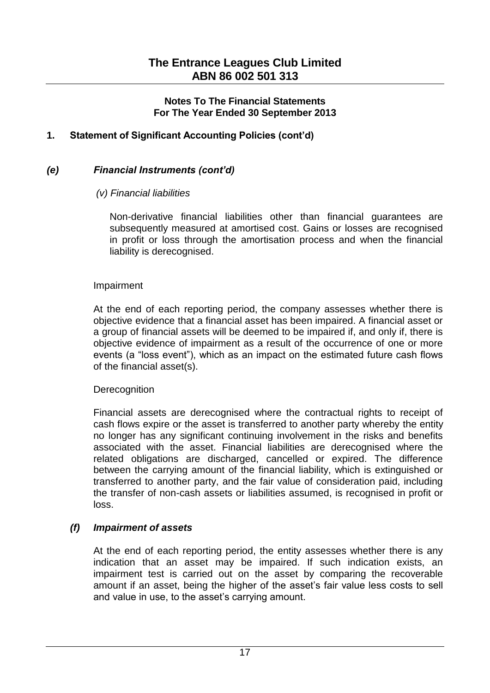## **1. Statement of Significant Accounting Policies (cont'd)**

## *(e) Financial Instruments (cont'd)*

#### *(v) Financial liabilities*

Non-derivative financial liabilities other than financial guarantees are subsequently measured at amortised cost. Gains or losses are recognised in profit or loss through the amortisation process and when the financial liability is derecognised.

#### Impairment

At the end of each reporting period, the company assesses whether there is objective evidence that a financial asset has been impaired. A financial asset or a group of financial assets will be deemed to be impaired if, and only if, there is objective evidence of impairment as a result of the occurrence of one or more events (a "loss event"), which as an impact on the estimated future cash flows of the financial asset(s).

#### **Derecognition**

Financial assets are derecognised where the contractual rights to receipt of cash flows expire or the asset is transferred to another party whereby the entity no longer has any significant continuing involvement in the risks and benefits associated with the asset. Financial liabilities are derecognised where the related obligations are discharged, cancelled or expired. The difference between the carrying amount of the financial liability, which is extinguished or transferred to another party, and the fair value of consideration paid, including the transfer of non-cash assets or liabilities assumed, is recognised in profit or loss.

## *(f) Impairment of assets*

At the end of each reporting period, the entity assesses whether there is any indication that an asset may be impaired. If such indication exists, an impairment test is carried out on the asset by comparing the recoverable amount if an asset, being the higher of the asset's fair value less costs to sell and value in use, to the asset's carrying amount.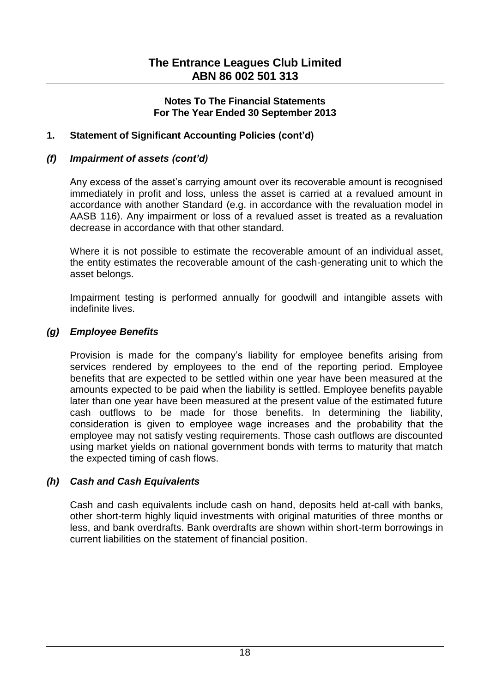## **1. Statement of Significant Accounting Policies (cont'd)**

## *(f) Impairment of assets (cont'd)*

Any excess of the asset's carrying amount over its recoverable amount is recognised immediately in profit and loss, unless the asset is carried at a revalued amount in accordance with another Standard (e.g. in accordance with the revaluation model in AASB 116). Any impairment or loss of a revalued asset is treated as a revaluation decrease in accordance with that other standard.

Where it is not possible to estimate the recoverable amount of an individual asset, the entity estimates the recoverable amount of the cash-generating unit to which the asset belongs.

Impairment testing is performed annually for goodwill and intangible assets with indefinite lives.

## *(g) Employee Benefits*

Provision is made for the company's liability for employee benefits arising from services rendered by employees to the end of the reporting period. Employee benefits that are expected to be settled within one year have been measured at the amounts expected to be paid when the liability is settled. Employee benefits payable later than one year have been measured at the present value of the estimated future cash outflows to be made for those benefits. In determining the liability, consideration is given to employee wage increases and the probability that the employee may not satisfy vesting requirements. Those cash outflows are discounted using market yields on national government bonds with terms to maturity that match the expected timing of cash flows.

# *(h) Cash and Cash Equivalents*

Cash and cash equivalents include cash on hand, deposits held at-call with banks, other short-term highly liquid investments with original maturities of three months or less, and bank overdrafts. Bank overdrafts are shown within short-term borrowings in current liabilities on the statement of financial position.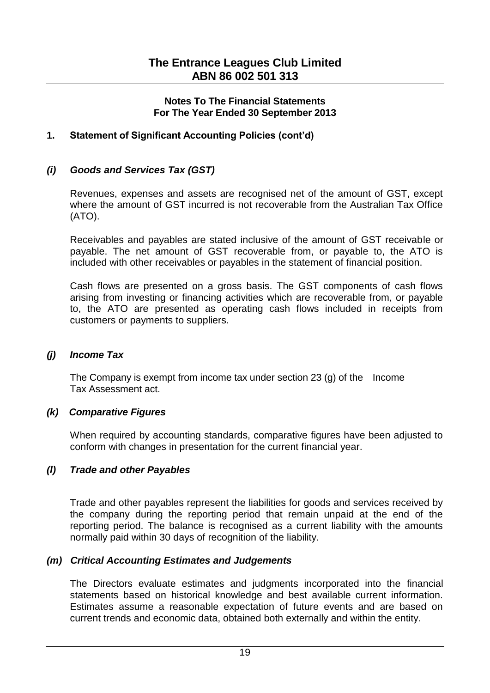## **1. Statement of Significant Accounting Policies (cont'd)**

## *(i) Goods and Services Tax (GST)*

Revenues, expenses and assets are recognised net of the amount of GST, except where the amount of GST incurred is not recoverable from the Australian Tax Office (ATO).

Receivables and payables are stated inclusive of the amount of GST receivable or payable. The net amount of GST recoverable from, or payable to, the ATO is included with other receivables or payables in the statement of financial position.

Cash flows are presented on a gross basis. The GST components of cash flows arising from investing or financing activities which are recoverable from, or payable to, the ATO are presented as operating cash flows included in receipts from customers or payments to suppliers.

#### *(j) Income Tax*

The Company is exempt from income tax under section 23 (g) of the  $\blacksquare$  Income Tax Assessment act.

## *(k) Comparative Figures*

When required by accounting standards, comparative figures have been adjusted to conform with changes in presentation for the current financial year.

## *(l) Trade and other Payables*

Trade and other payables represent the liabilities for goods and services received by the company during the reporting period that remain unpaid at the end of the reporting period. The balance is recognised as a current liability with the amounts normally paid within 30 days of recognition of the liability.

## *(m) Critical Accounting Estimates and Judgements*

The Directors evaluate estimates and judgments incorporated into the financial statements based on historical knowledge and best available current information. Estimates assume a reasonable expectation of future events and are based on current trends and economic data, obtained both externally and within the entity.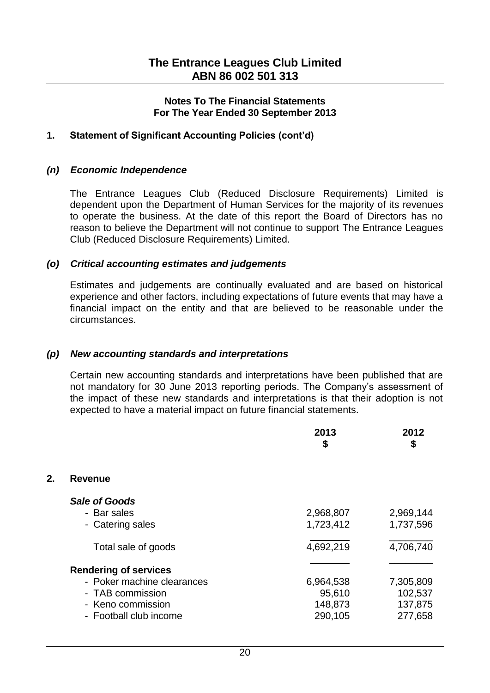## **1. Statement of Significant Accounting Policies (cont'd)**

#### *(n) Economic Independence*

The Entrance Leagues Club (Reduced Disclosure Requirements) Limited is dependent upon the Department of Human Services for the majority of its revenues to operate the business. At the date of this report the Board of Directors has no reason to believe the Department will not continue to support The Entrance Leagues Club (Reduced Disclosure Requirements) Limited.

#### *(o) Critical accounting estimates and judgements*

Estimates and judgements are continually evaluated and are based on historical experience and other factors, including expectations of future events that may have a financial impact on the entity and that are believed to be reasonable under the circumstances.

## *(p) New accounting standards and interpretations*

Certain new accounting standards and interpretations have been published that are not mandatory for 30 June 2013 reporting periods. The Company's assessment of the impact of these new standards and interpretations is that their adoption is not expected to have a material impact on future financial statements.

|    |                              | 2013<br>\$ | 2012<br>\$ |
|----|------------------------------|------------|------------|
| 2. | <b>Revenue</b>               |            |            |
|    | <b>Sale of Goods</b>         |            |            |
|    | - Bar sales                  | 2,968,807  | 2,969,144  |
|    | - Catering sales             | 1,723,412  | 1,737,596  |
|    | Total sale of goods          | 4,692,219  | 4,706,740  |
|    | <b>Rendering of services</b> |            |            |
|    | - Poker machine clearances   | 6,964,538  | 7,305,809  |
|    | - TAB commission             | 95,610     | 102,537    |
|    | - Keno commission            | 148,873    | 137,875    |
|    | - Football club income       | 290,105    | 277,658    |
|    |                              |            |            |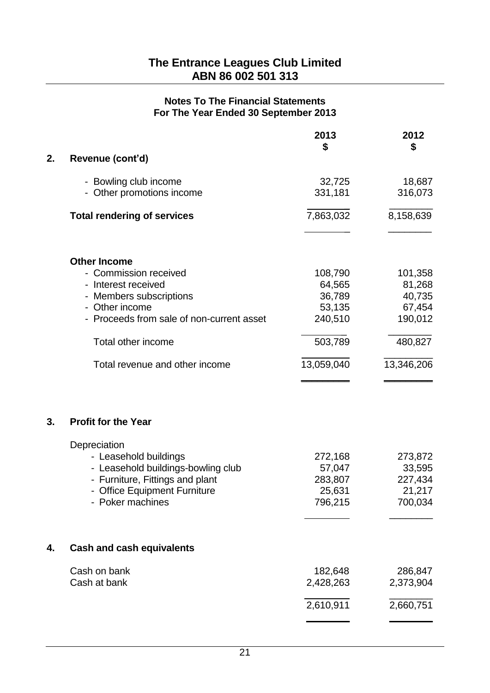|    |                                           | 2013<br>\$ | 2012<br>\$ |
|----|-------------------------------------------|------------|------------|
| 2. | Revenue (cont'd)                          |            |            |
|    | - Bowling club income                     | 32,725     | 18,687     |
|    | - Other promotions income                 | 331,181    | 316,073    |
|    | <b>Total rendering of services</b>        | 7,863,032  | 8,158,639  |
|    | <b>Other Income</b>                       |            |            |
|    | - Commission received                     | 108,790    | 101,358    |
|    | - Interest received                       | 64,565     | 81,268     |
|    | - Members subscriptions                   | 36,789     | 40,735     |
|    | - Other income                            | 53,135     | 67,454     |
|    | - Proceeds from sale of non-current asset | 240,510    | 190,012    |
|    | Total other income                        | 503,789    | 480,827    |
|    | Total revenue and other income            | 13,059,040 | 13,346,206 |
| 3. | <b>Profit for the Year</b>                |            |            |
|    | Depreciation                              |            |            |
|    | - Leasehold buildings                     | 272,168    | 273,872    |
|    | - Leasehold buildings-bowling club        | 57,047     | 33,595     |
|    | - Furniture, Fittings and plant           | 283,807    | 227,434    |
|    | - Office Equipment Furniture              | 25,631     | 21,217     |
|    | - Poker machines                          | 796,215    | 700,034    |
| 4. | <b>Cash and cash equivalents</b>          |            |            |
|    | Cash on bank                              | 182,648    | 286,847    |
|    | Cash at bank                              | 2,428,263  | 2,373,904  |
|    |                                           | 2,610,911  | 2,660,751  |
|    |                                           |            |            |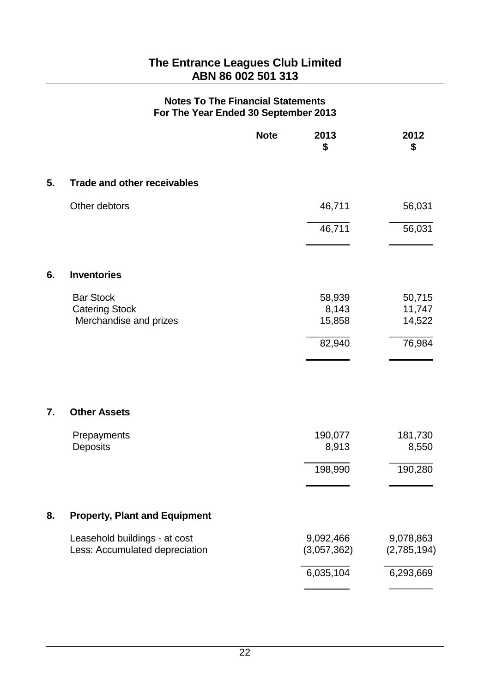|    |                                      | <b>Note</b> | 2013<br>\$  | 2012<br>\$  |
|----|--------------------------------------|-------------|-------------|-------------|
| 5. | <b>Trade and other receivables</b>   |             |             |             |
|    | Other debtors                        |             | 46,711      | 56,031      |
|    |                                      |             | 46,711      | 56,031      |
| 6. | <b>Inventories</b>                   |             |             |             |
|    | <b>Bar Stock</b>                     |             | 58,939      | 50,715      |
|    | <b>Catering Stock</b>                |             | 8,143       | 11,747      |
|    | Merchandise and prizes               |             | 15,858      | 14,522      |
|    |                                      |             | 82,940      | 76,984      |
| 7. | <b>Other Assets</b>                  |             |             |             |
|    | Prepayments                          |             | 190,077     | 181,730     |
|    | Deposits                             |             | 8,913       | 8,550       |
|    |                                      |             | 198,990     | 190,280     |
|    |                                      |             |             |             |
| 8. | <b>Property, Plant and Equipment</b> |             |             |             |
|    | Leasehold buildings - at cost        |             | 9,092,466   | 9,078,863   |
|    | Less: Accumulated depreciation       |             | (3,057,362) | (2,785,194) |
|    |                                      |             | 6,035,104   | 6,293,669   |
|    |                                      |             |             |             |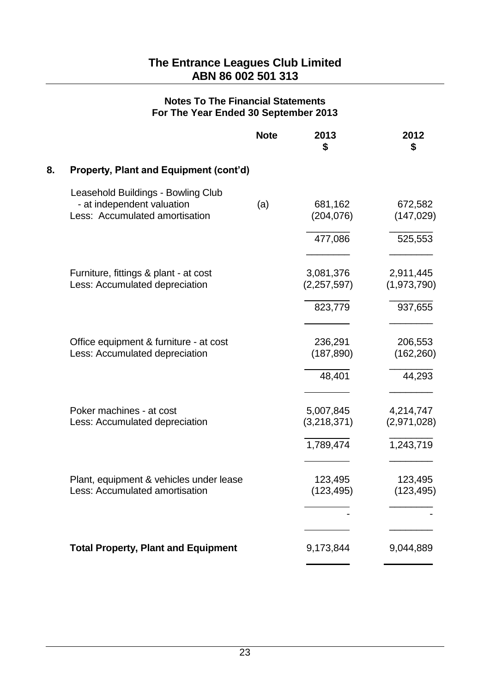|    |                                                                                                    | <b>Note</b> | 2013<br>\$               | 2012<br>\$               |
|----|----------------------------------------------------------------------------------------------------|-------------|--------------------------|--------------------------|
| 8. | Property, Plant and Equipment (cont'd)                                                             |             |                          |                          |
|    | Leasehold Buildings - Bowling Club<br>- at independent valuation<br>Less: Accumulated amortisation | (a)         | 681,162<br>(204, 076)    | 672,582<br>(147, 029)    |
|    |                                                                                                    |             | 477,086                  | 525,553                  |
|    | Furniture, fittings & plant - at cost<br>Less: Accumulated depreciation                            |             | 3,081,376<br>(2,257,597) | 2,911,445<br>(1,973,790) |
|    |                                                                                                    |             | 823,779                  | 937,655                  |
|    | Office equipment & furniture - at cost<br>Less: Accumulated depreciation                           |             | 236,291<br>(187, 890)    | 206,553<br>(162, 260)    |
|    |                                                                                                    |             | 48,401                   | 44,293                   |
|    | Poker machines - at cost<br>Less: Accumulated depreciation                                         |             | 5,007,845<br>(3,218,371) | 4,214,747<br>(2,971,028) |
|    |                                                                                                    |             | 1,789,474                | 1,243,719                |
|    | Plant, equipment & vehicles under lease<br>Less: Accumulated amortisation                          |             | 123,495<br>(123, 495)    | 123,495<br>(123, 495)    |
|    |                                                                                                    |             |                          |                          |
|    | <b>Total Property, Plant and Equipment</b>                                                         |             | 9,173,844                | 9,044,889                |
|    |                                                                                                    |             |                          |                          |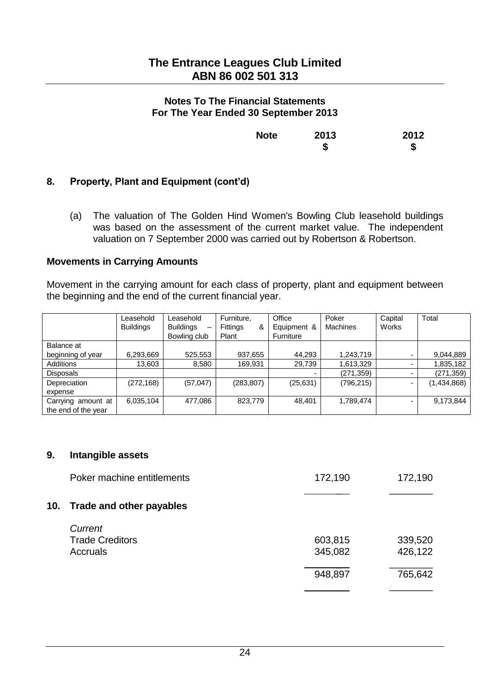| <b>Note</b> | 2013 | 2012 |
|-------------|------|------|
|             | \$   | \$   |

# **8. Property, Plant and Equipment (cont'd)**

(a) The valuation of The Golden Hind Women's Bowling Club leasehold buildings was based on the assessment of the current market value. The independent valuation on 7 September 2000 was carried out by Robertson & Robertson.

#### **Movements in Carrying Amounts**

Movement in the carrying amount for each class of property, plant and equipment between the beginning and the end of the current financial year.

|                     | Leasehold<br><b>Buildings</b> | Leasehold<br><b>Buildings</b><br>-<br>Bowling club | Furniture,<br><b>Fittings</b><br>&<br>Plant | Office<br>Equipment &<br>Furniture | Poker<br><b>Machines</b> | Capital<br>Works         | Total       |
|---------------------|-------------------------------|----------------------------------------------------|---------------------------------------------|------------------------------------|--------------------------|--------------------------|-------------|
| Balance at          |                               |                                                    |                                             |                                    |                          |                          |             |
| beginning of year   | 6,293,669                     | 525,553                                            | 937,655                                     | 44,293                             | 1,243,719                | ۰                        | 9,044,889   |
| Additions           | 13,603                        | 8,580                                              | 169,931                                     | 29,739                             | 1,613,329                | $\overline{\phantom{0}}$ | 1,835,182   |
| <b>Disposals</b>    |                               |                                                    |                                             |                                    | (271, 359)               | ۰                        | (271, 359)  |
| Depreciation        | (272, 168)                    | (57, 047)                                          | (283, 807)                                  | (25, 631)                          | (796, 215)               | -                        | (1,434,868) |
| expense             |                               |                                                    |                                             |                                    |                          |                          |             |
| Carrying amount at  | 6,035,104                     | 477,086                                            | 823,779                                     | 48,401                             | 1,789,474                | ۰                        | 9,173,844   |
| the end of the year |                               |                                                    |                                             |                                    |                          |                          |             |

#### **9. Intangible assets**

|     | Poker machine entitlements | 172,190 | 172,190 |
|-----|----------------------------|---------|---------|
| 10. | Trade and other payables   |         |         |
|     | Current                    |         |         |
|     | <b>Trade Creditors</b>     | 603,815 | 339,520 |
|     | Accruals                   | 345,082 | 426,122 |
|     |                            | 948,897 | 765,642 |
|     |                            |         |         |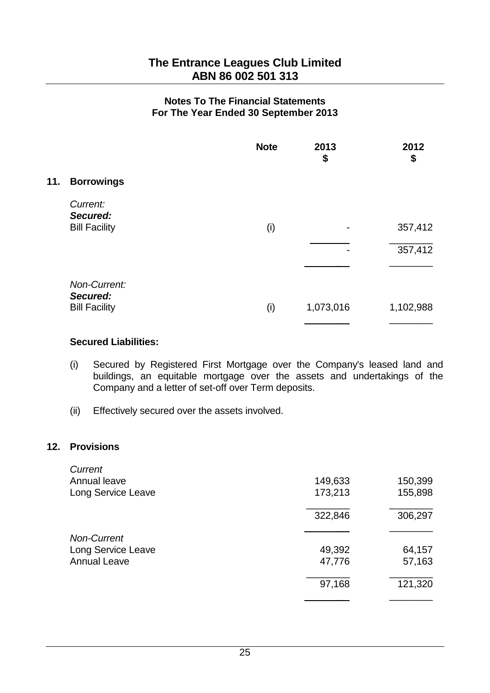|     |                                  | <b>Note</b> | 2013<br>\$ | 2012<br>\$ |
|-----|----------------------------------|-------------|------------|------------|
| 11. | <b>Borrowings</b>                |             |            |            |
|     | Current:<br>Secured:             |             |            |            |
|     | <b>Bill Facility</b>             | (i)         |            | 357,412    |
|     |                                  |             |            | 357,412    |
|     |                                  |             |            |            |
|     | Non-Current:                     |             |            |            |
|     | Secured:<br><b>Bill Facility</b> | (i)         | 1,073,016  | 1,102,988  |
|     |                                  |             |            |            |

#### **Secured Liabilities:**

- (i) Secured by Registered First Mortgage over the Company's leased land and buildings, an equitable mortgage over the assets and undertakings of the Company and a letter of set-off over Term deposits.
- (ii) Effectively secured over the assets involved.

## **12. Provisions**

| Current             |         |         |
|---------------------|---------|---------|
| Annual leave        | 149,633 | 150,399 |
| Long Service Leave  | 173,213 | 155,898 |
|                     | 322,846 | 306,297 |
| <b>Non-Current</b>  |         |         |
| Long Service Leave  | 49,392  | 64,157  |
| <b>Annual Leave</b> | 47,776  | 57,163  |
|                     | 97,168  | 121,320 |
|                     |         |         |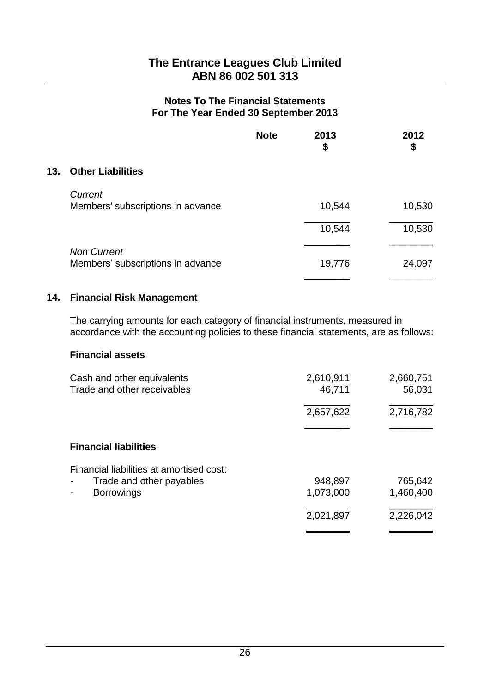|     |                                                         | <b>Note</b> | 2013<br>\$ | 2012<br>\$ |
|-----|---------------------------------------------------------|-------------|------------|------------|
| 13. | <b>Other Liabilities</b>                                |             |            |            |
|     | Current<br>Members' subscriptions in advance            |             | 10,544     | 10,530     |
|     |                                                         |             | 10,544     | 10,530     |
|     | <b>Non Current</b><br>Members' subscriptions in advance |             | 19,776     | 24,097     |

## **14. Financial Risk Management**

The carrying amounts for each category of financial instruments, measured in accordance with the accounting policies to these financial statements, are as follows:

## **Financial assets**

| Cash and other equivalents<br>Trade and other receivables | 2,610,911<br>46,711 | 2,660,751<br>56,031 |
|-----------------------------------------------------------|---------------------|---------------------|
|                                                           | 2,657,622           | 2,716,782           |
|                                                           |                     |                     |
| <b>Financial liabilities</b>                              |                     |                     |
| Financial liabilities at amortised cost:                  |                     |                     |
| Trade and other payables                                  | 948,897             | 765,642             |
| <b>Borrowings</b>                                         | 1,073,000           | 1,460,400           |
|                                                           | 2,021,897           | 2,226,042           |
|                                                           |                     |                     |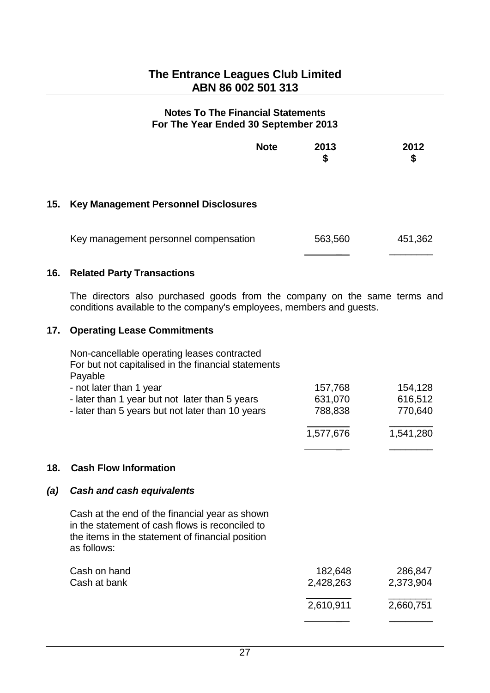|     |                                             | <b>Note</b> | 2013<br>\$ | 2012<br>\$ |
|-----|---------------------------------------------|-------------|------------|------------|
| 15. | <b>Key Management Personnel Disclosures</b> |             |            |            |
|     | Key management personnel compensation       |             | 563,560    | 451,362    |

## **16. Related Party Transactions**

The directors also purchased goods from the company on the same terms and conditions available to the company's employees, members and guests.

## **17. Operating Lease Commitments**

| Non-cancellable operating leases contracted<br>For but not capitalised in the financial statements<br>Payable |           |           |
|---------------------------------------------------------------------------------------------------------------|-----------|-----------|
| - not later than 1 year                                                                                       | 157,768   | 154,128   |
| - later than 1 year but not later than 5 years                                                                | 631,070   | 616,512   |
| - later than 5 years but not later than 10 years                                                              | 788,838   | 770,640   |
|                                                                                                               | 1,577,676 | 1,541,280 |
|                                                                                                               |           |           |

## **18. Cash Flow Information**

## *(a) Cash and cash equivalents*

Cash at the end of the financial year as shown in the statement of cash flows is reconciled to the items in the statement of financial position as follows:

| Cash on hand<br>Cash at bank | 182,648<br>2,428,263 | 286,847<br>2,373,904 |
|------------------------------|----------------------|----------------------|
|                              | 2,610,911            | 2,660,751            |
|                              |                      |                      |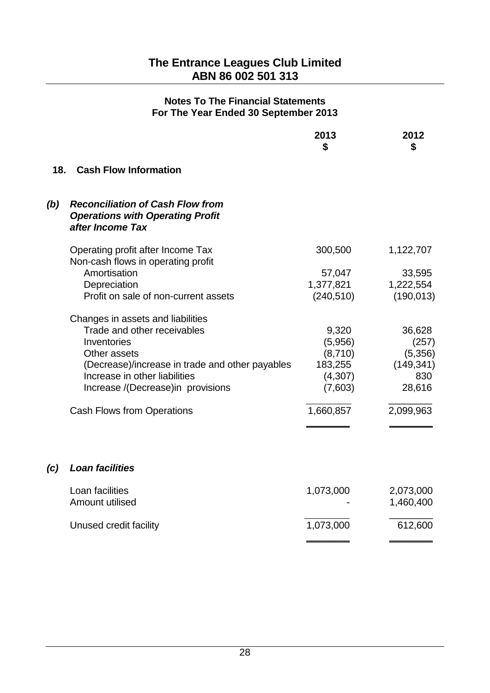|     |                                                                                                        | 2013<br>\$         | 2012<br>\$        |
|-----|--------------------------------------------------------------------------------------------------------|--------------------|-------------------|
| 18. | <b>Cash Flow Information</b>                                                                           |                    |                   |
| (b) | <b>Reconciliation of Cash Flow from</b><br><b>Operations with Operating Profit</b><br>after Income Tax |                    |                   |
|     | Operating profit after Income Tax<br>Non-cash flows in operating profit                                | 300,500            | 1,122,707         |
|     | Amortisation                                                                                           | 57,047             | 33,595            |
|     | Depreciation                                                                                           | 1,377,821          | 1,222,554         |
|     | Profit on sale of non-current assets                                                                   | (240, 510)         | (190, 013)        |
|     | Changes in assets and liabilities                                                                      |                    |                   |
|     | Trade and other receivables                                                                            | 9,320              | 36,628            |
|     | Inventories                                                                                            | (5,956)            | (257)             |
|     | Other assets                                                                                           | (8,710)            | (5,356)           |
|     | (Decrease)/increase in trade and other payables<br>Increase in other liabilities                       | 183,255            | (149, 341)<br>830 |
|     | Increase /(Decrease)in provisions                                                                      | (4,307)<br>(7,603) | 28,616            |
|     |                                                                                                        |                    |                   |
|     | <b>Cash Flows from Operations</b>                                                                      | 1,660,857          | 2,099,963         |
|     |                                                                                                        |                    |                   |
| (c) | <b>Loan facilities</b>                                                                                 |                    |                   |
|     | Loan facilities                                                                                        | 1,073,000          | 2,073,000         |
|     | Amount utilised                                                                                        |                    | 1,460,400         |
|     | Unused credit facility                                                                                 | 1,073,000          | 612,600           |
|     |                                                                                                        |                    |                   |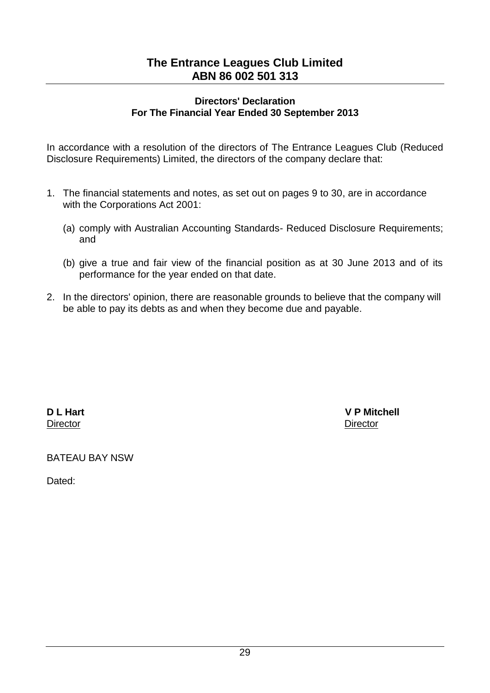### **Directors' Declaration For The Financial Year Ended 30 September 2013**

In accordance with a resolution of the directors of The Entrance Leagues Club (Reduced Disclosure Requirements) Limited, the directors of the company declare that:

- 1. The financial statements and notes, as set out on pages 9 to 30, are in accordance with the Corporations Act 2001:
	- (a) comply with Australian Accounting Standards- Reduced Disclosure Requirements; and
	- (b) give a true and fair view of the financial position as at 30 June 2013 and of its performance for the year ended on that date.
- 2. In the directors' opinion, there are reasonable grounds to believe that the company will be able to pay its debts as and when they become due and payable.

**Director** Director **Director** 

**D L Hart V P Mitchell** 

BATEAU BAY NSW

Dated: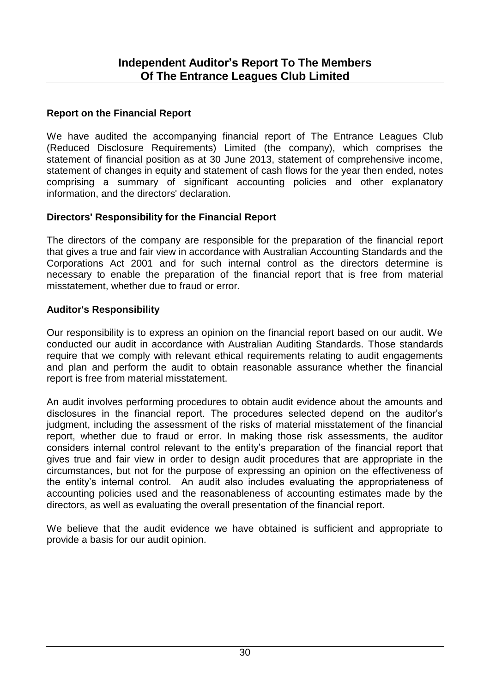## **Report on the Financial Report**

We have audited the accompanying financial report of The Entrance Leagues Club (Reduced Disclosure Requirements) Limited (the company), which comprises the statement of financial position as at 30 June 2013, statement of comprehensive income, statement of changes in equity and statement of cash flows for the year then ended, notes comprising a summary of significant accounting policies and other explanatory information, and the directors' declaration.

## **Directors' Responsibility for the Financial Report**

The directors of the company are responsible for the preparation of the financial report that gives a true and fair view in accordance with Australian Accounting Standards and the Corporations Act 2001 and for such internal control as the directors determine is necessary to enable the preparation of the financial report that is free from material misstatement, whether due to fraud or error.

## **Auditor's Responsibility**

Our responsibility is to express an opinion on the financial report based on our audit. We conducted our audit in accordance with Australian Auditing Standards. Those standards require that we comply with relevant ethical requirements relating to audit engagements and plan and perform the audit to obtain reasonable assurance whether the financial report is free from material misstatement.

An audit involves performing procedures to obtain audit evidence about the amounts and disclosures in the financial report. The procedures selected depend on the auditor's judgment, including the assessment of the risks of material misstatement of the financial report, whether due to fraud or error. In making those risk assessments, the auditor considers internal control relevant to the entity's preparation of the financial report that gives true and fair view in order to design audit procedures that are appropriate in the circumstances, but not for the purpose of expressing an opinion on the effectiveness of the entity's internal control. An audit also includes evaluating the appropriateness of accounting policies used and the reasonableness of accounting estimates made by the directors, as well as evaluating the overall presentation of the financial report.

We believe that the audit evidence we have obtained is sufficient and appropriate to provide a basis for our audit opinion.